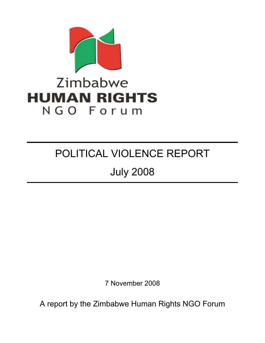

# POLITICAL VIOLENCE REPORT

July 2008

7 November 2008

A report by the Zimbabwe Human Rights NGO Forum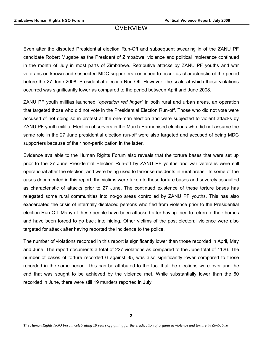# **OVERVIEW**

Even after the disputed Presidential election Run-Off and subsequent swearing in of the ZANU PF candidate Robert Mugabe as the President of Zimbabwe, violence and political intolerance continued in the month of July in most parts of Zimbabwe. Retributive attacks by ZANU PF youths and war veterans on known and suspected MDC supporters continued to occur as characteristic of the period before the 27 June 2008, Presidential election Run-Off. However, the scale at which these violations occurred was significantly lower as compared to the period between April and June 2008.

ZANU PF youth militias launched *"operation red finger"* in both rural and urban areas, an operation that targeted those who did not vote in the Presidential Election Run-off. Those who did not vote were accused of not doing so in protest at the one-man election and were subjected to violent attacks by ZANU PF youth militia. Election observers in the March Harmonised elections who did not assume the same role in the 27 June presidential election run-off were also targeted and accused of being MDC supporters because of their non-participation in the latter.

Evidence available to the Human Rights Forum also reveals that the torture bases that were set up prior to the 27 June Presidential Election Run-off by ZANU PF youths and war veterans were still operational after the election, and were being used to terrorise residents in rural areas. In some of the cases documented in this report, the victims were taken to these torture bases and severely assaulted as characteristic of attacks prior to 27 June. The continued existence of these torture bases has relegated some rural communities into no-go areas controlled by ZANU PF youths. This has also exacerbated the crisis of internally displaced persons who fled from violence prior to the Presidential election Run-Off. Many of these people have been attacked after having tried to return to their homes and have been forced to go back into hiding. Other victims of the post electoral violence were also targeted for attack after having reported the incidence to the police.

The number of violations recorded in this report is significantly lower than those recorded in April, May and June. The report documents a total of 227 violations as compared to the June total of 1126. The number of cases of torture recorded 6 against 35, was also significantly lower compared to those recorded in the same period. This can be attributed to the fact that the elections were over and the end that was sought to be achieved by the violence met. While substantially lower than the 60 recorded in June, there were still 19 murders reported in July.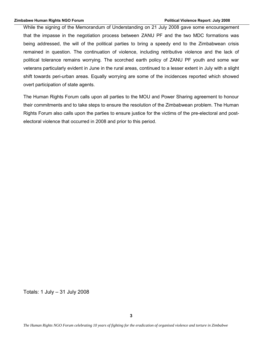While the signing of the Memorandum of Understanding on 21 July 2008 gave some encouragement that the impasse in the negotiation process between ZANU PF and the two MDC formations was being addressed, the will of the political parties to bring a speedy end to the Zimbabwean crisis remained in question. The continuation of violence, including retributive violence and the lack of political tolerance remains worrying. The scorched earth policy of ZANU PF youth and some war veterans particularly evident in June in the rural areas, continued to a lesser extent in July with a slight shift towards peri-urban areas. Equally worrying are some of the incidences reported which showed overt participation of state agents.

The Human Rights Forum calls upon all parties to the MOU and Power Sharing agreement to honour their commitments and to take steps to ensure the resolution of the Zimbabwean problem. The Human Rights Forum also calls upon the parties to ensure justice for the victims of the pre-electoral and postelectoral violence that occurred in 2008 and prior to this period.

Totals: 1 July – 31 July 2008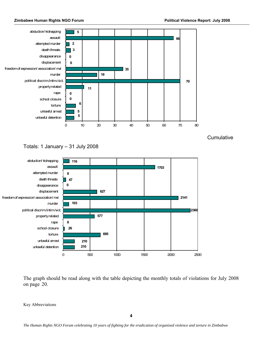



Totals: 1 January – 31 July 2008



The graph should be read along with the table depicting the monthly totals of violations for July 2008 on page 20.

Key Abbreviations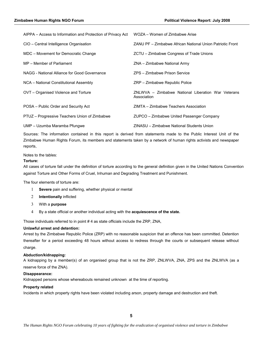| AIPPA – Access to Information and Protection of Privacy Act | WOZA – Women of Zimbabwe Arise                                    |
|-------------------------------------------------------------|-------------------------------------------------------------------|
| CIO - Central Intelligence Organisation                     | ZANU PF – Zimbabwe African National Union Patriotic Front         |
| MDC - Movement for Democratic Change                        | ZCTU - Zimbabwe Congress of Trade Unions                          |
| MP - Member of Parliament                                   | ZNA - Zimbabwe National Army                                      |
| NAGG - National Alliance for Good Governance                | ZPS - Zimbabwe Prison Service                                     |
| NCA - National Constitutional Assembly                      | ZRP - Zimbabwe Republic Police                                    |
| OVT - Organised Violence and Torture                        | ZNLWVA – Zimbabwe National Liberation War Veterans<br>Association |
| POSA – Public Order and Security Act                        | ZIMTA – Zimbabwe Teachers Association                             |
| PTUZ - Progressive Teachers Union of Zimbabwe               | ZUPCO – Zimbabwe United Passenger Company                         |
| UMP - Uzumba Maramba Pfungwe                                | ZINASU - Zimbabwe National Students Union                         |

Sources: The information contained in this report is derived from statements made to the Public Interest Unit of the Zimbabwe Human Rights Forum, its members and statements taken by a network of human rights activists and newspaper reports,

Notes to the tables:

# **Torture:**

All cases of torture fall under the definition of torture according to the general definition given in the United Nations Convention against Torture and Other Forms of Cruel, Inhuman and Degrading Treatment and Punishment.

The four elements of torture are:

- 1 **Severe** pain and suffering, whether physical or mental
- 2 **Intentionally** inflicted
- 3 With a **purpose**
- 4 By a state official or another individual acting with the **acquiescence of the state.**

Those individuals referred to in point # 4 as state officials include the ZRP, ZNA,

#### **Unlawful arrest and detention:**

Arrest by the Zimbabwe Republic Police (ZRP) with no reasonable suspicion that an offence has been committed. Detention thereafter for a period exceeding 48 hours without access to redress through the courts or subsequent release without charge.

#### **Abduction/kidnapping:**

A kidnapping by a member(s) of an organised group that is not the ZRP, ZNLWVA, ZNA, ZPS and the ZNLWVA (as a reserve force of the ZNA).

#### **Disappearance:**

Kidnapped persons whose whereabouts remained unknown at the time of reporting.

#### **Property related**

Incidents in which property rights have been violated including arson, property damage and destruction and theft.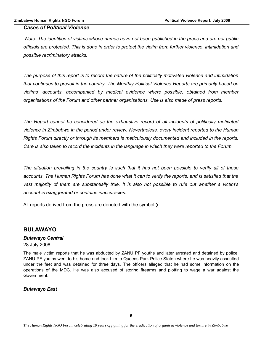# *Cases of Political Violence*

*Note: The identities of victims whose names have not been published in the press and are not public officials are protected. This is done in order to protect the victim from further violence, intimidation and possible recriminatory attacks.*

*The purpose of this report is to record the nature of the politically motivated violence and intimidation that continues to prevail in the country. The Monthly Political Violence Reports are primarily based on victims' accounts, accompanied by medical evidence where possible, obtained from member organisations of the Forum and other partner organisations. Use is also made of press reports.* 

*The Report cannot be considered as the exhaustive record of all incidents of politically motivated violence in Zimbabwe in the period under review. Nevertheless, every incident reported to the Human Rights Forum directly or through its members is meticulously documented and included in the reports. Care is also taken to record the incidents in the language in which they were reported to the Forum.*

*The situation prevailing in the country is such that it has not been possible to verify all of these accounts. The Human Rights Forum has done what it can to verify the reports, and is satisfied that the vast majority of them are substantially true. It is also not possible to rule out whether a victim's account is exaggerated or contains inaccuracies.*

All reports derived from the press are denoted with the symbol  $\Sigma$ .

# **BULAWAYO**

# *Bulawayo Central*

#### 28 July 2008

The male victim reports that he was abducted by ZANU PF youths and later arrested and detained by police. ZANU PF youths went to his home and took him to Queens Park Police Staton where he was heavily assaulted under the feet and was detained for three days. The officers alleged that he had some information on the operations of the MDC. He was also accused of storing firearms and plotting to wage a war against the Government.

# *Bulawayo East*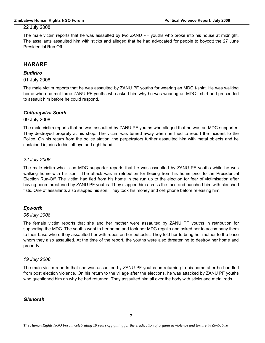The male victim reports that he was assaulted by two ZANU PF youths who broke into his house at midnight. The assailants assaulted him with sticks and alleged that he had advocated for people to boycott the 27 June Presidential Run Off.

# **HARARE**

# *Budiriro*

01 July 2008

The male victim reports that he was assaulted by ZANU PF youths for wearing an MDC t-shirt. He was walking home when he met three ZANU PF youths who asked him why he was wearing an MDC t-shirt and proceeded to assault him before he could respond.

# *Chitungwiza South*

#### 09 July 2008

The male victim reports that he was assaulted by ZANU PF youths who alleged that he was an MDC supporter. They destroyed proprety at his shop. The victim was turned away when he tried to report the incident to the Police. On his return from the police station, the perpetrators further assaulted him with metal objects and he sustained injuries to his left eye and right hand.

# *22 July 2008*

The male victim who is an MDC supporter reports that he was assaulted by ZANU PF youths while he was walking home with his son. The attack was in retribution for fleeing from his home prior to the Presidential Election Run-Off. The victim had fled from his home in the run up to the election for fear of victimisation after having been threatened by ZANU PF youths. They slapped him across the face and punched him with clenched fists. One of assailants also slapped his son. They took his money and cell phone before releasing him.

# *Epworth*

#### *06 July 2008*

The female victim reports that she and her mother were assaulted by ZANU PF youths in retribution for supporting the MDC. The youths went to her home and took her MDC regalia and asked her to accompany them to their base where they assaulted her with ropes on her buttocks. They told her to bring her mother to the base whom they also assaulted. At the time of the report, the youths were also threatening to destroy her home and property.

#### *19 July 2008*

The male victim reports that she was assaulted by ZANU PF youths on returning to his home after he had fled from post election violence. On his return to the village after the elections, he was attacked by ZANU PF youths who questioned him on why he had returned. They assaulted him all over the body with sticks and metal rods.

#### *Glenorah*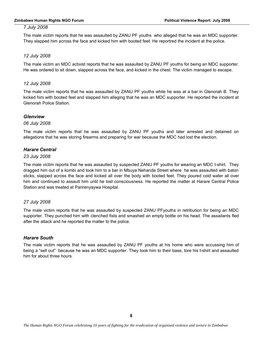#### **Zimbabwe Human Rights NGO Forum Political Violence Report: July 2008**

#### *7 July 2008*

The male victim reports that he was assaulted by ZANU PF youths who alleged that he was an MDC supporter. They slapped him across the face and kicked him with booted feet. He reportred the incident at the police.

# *12 July 2008*

The male victim an MDC activist reports that he was assaulted by ZANU PF youths for being an MDC supporter. He was ordered to sit down, slapped across the face, and kicked in the chest. The victim managed to escape.

# *12 July 2008*

The male victim reports that he was assaulted by ZANU PF youths while he was at a bar in Glenorah B. They kicked him with booted feet and slapped him alleging that he was an MDC supporter. He reported the incident at Glenorah Police Station.

# *Glenview*

#### *06 July 2008*

The male victim reports that he was assaulted by ZANU PF youths and later arrested and detained on allegations that he was storing firearms and preparing for war because the MDC had lost the election.

# *Harare Central*

#### *23 July 2008*

The male victim reports that he was assaulted by suspected ZANU PF youths for wearing an MDC t-shirt. They dragged him out of a kombi and took him to a bar in Mbuya Nehanda Street where he was assaulted with baton sticks, slapped across the face and kicked all over the body with booted feet. They poured cold water all over him and continued to assault him until he lost consciousness. He reported the matter at Harare Central Police Station and was treated at Parirenyaywa Hospital.

#### *27 July 2008*

The male victim reports that he was assaulted by suspected ZANU PFyouths in retribution for being an MDC supporter. They punched him with clenched fists and smashed an empty bottle on his head. The assailants fled after the attack and he reported the matter to the police.

# *Harare South*

The male victim reports that he was assaulted by ZANU PF youths at his home who were accussing him of being a "sell out" because he was an MDC supporter. They took him to their base, tore his t-shirt and assaulted him for about three hours.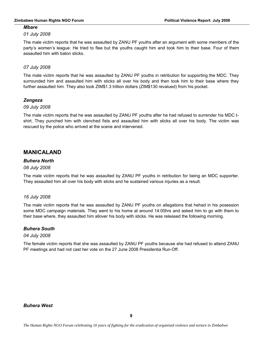# *Mbare*

# *01 July 2008*

The male victim reports that he was assaulted by ZANU PF youths after an argument with some members of the party's women's league. He tried to flee but the youths caught him and took him to their base. Four of them assaulted him with baton sticks.

# *07 July 2008*

The male victim reports that he was assaulted by ZANU PF youths in retribution for supporting the MDC. They surrounded him and assaulted him with sticks all over his body and then took him to their base where they further assaulted him. They also took ZIM\$1.3 trillion dollars (ZIM\$130 revalued) from his pocket.

# *Zengeza*

# *09 July 2008*

The male victim reports that he was assaulted by ZANU PF youths after he had refused to surrender his MDC tshirt. They punched him with clenched fists and assaulted him with sticks all over his body. The victim was rescued by the police who arrived at the scene and intervened.

# **MANICALAND**

# *Buhera North*

# *08 July 2008*

The male victim reports that he was assaulted by ZANU PF youths in retribution for being an MDC supporter. They assaulted him all over his body with sticks and he sustained various injuries as a result.

# *16 July 2008*

The male victim reports that he was assaulted by ZANU PF youths on allegations that hehad in his posession some MDC campaign materials. They went to his home at around 14:00hrs and asked him to go with them to their base where, they assaulted him allover his body with sticks. He was released the following morning.

# *Buhera South*

# *04 July 2008*

The female victim reports that she was assaulted by ZANU PF youths because she had refused to attend ZANU PF meetings and had not cast her vote on the 27 June 2008 Presidentia Run-Off.

# *Buhera West*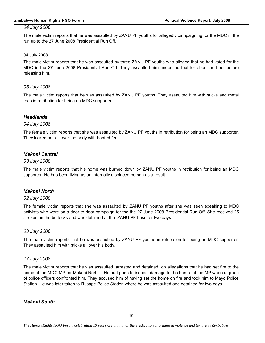The male victim reports that he was assaulted by ZANU PF youths for allegedly campaigning for the MDC in the run up to the 27 June 2008 Presidential Run Off.

# 04 July 2008

The male victim reports that he was assaulted by three ZANU PF youths who alleged that he had voted for the MDC in the 27 June 2008 Presidential Run Off. They assaulted him under the feet for about an hour before releasing him.

# *06 July 2008*

The male victim reports that he was assaulted by ZANU PF youths. They assaulted him with sticks and metal rods in retribution for being an MDC supporter.

# *Headlands*

# *04 July 2008*

The female victim reports that she was assaulted by ZANU PF youths in retribution for being an MDC supporter. They kicked her all over the body with booted feet.

# *Makoni Central*

# *03 July 2008*

The male victim reports that his home was burned down by ZANU PF youths in retribution for being an MDC supporter. He has been living as an internally displaced person as a result.

# *Makoni North*

#### *02 July 2008*

The female victim reports that she was assaulted by ZANU PF youths after she was seen speaking to MDC activists who were on a door to door campaign for the the 27 June 2008 Presidential Run Off. She received 25 strokes on the buttocks and was detained at the ZANU PF base for two days.

#### *03 July 2008*

The male victim reports that he was assaulted by ZANU PF youths in retribution for being an MDC supporter. They assaulted him with sticks all over his body.

# *17 July 2008*

The male victim reports that he was assaulted, arrested and detained on allegations that he had set fire to the home of the MDC MP for Makoni North. He had gone to inspect damage to the home of the MP when a group of police officers confronted him. They accused him of having set the home on fire and took him to Mayo Police Station. He was later taken to Rusape Police Station where he was assaulted and detained for two days.

# *Makoni South*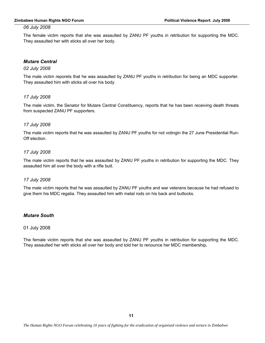The female victim reports that she was assaulted by ZANU PF youths in retribution for supporting the MDC. They assaulted her with sticks all over her body.

# *Mutare Central*

#### *02 July 2008*

The male victim reporets that he was assaulted by ZANU PF youths in retribution for being an MDC supporter. They assaulted him with sticks all over his body.

#### *17 July 2008*

The male victim, the Senator for Mutare Central Constituency, reports that he has been receiving death threats from suspected ZANU PF supporters.

#### *17 July 2008*

The male victim reports that he was assaulted by ZANU PF youths for not votingin the 27 June Presidential Run-Off election.

#### *17 July 2008*

The male victim reports that he was assaulted by ZANU PF youths in retribution for supporting the MDC. They assaulted him all over the body with a rifle butt.

#### *17 July 2008*

The male victim reports that he was assaulted by ZANU PF youths and war veterans because he had refused to give them his MDC regalia. They assaulted him with metal rods on his back and buttocks.

# *Mutare South*

#### 01 July 2008

The female victim reports that she was assaulted by ZANU PF youths in retribution for supporting the MDC. They assaulted her with sticks all over her body and told her to renounce her MDC membership*.*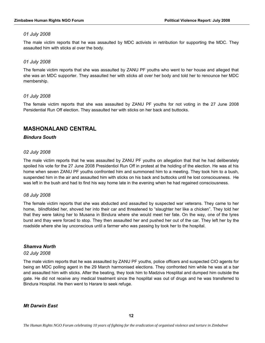The male victim reports that he was assaulted by MDC activists in retribution for supporting the MDC. They assaulted him with sticks al over the body.

# *01 July 2008*

The female victim reports that she was assaulted by ZANU PF youths who went to her house and alleged that she was an MDC supporter. They assaulted her with sticks all over her body and told her to renounce her MDC membership.

# *01 July 2008*

The female victim reports that she was assaulted by ZANU PF youths for not voting in the 27 June 2008 Persidential Run Off election. They assaulted her with sticks on her back and buttocks.

# **MASHONALAND CENTRAL**

# *Bindura South*

# *02 July 2008*

The male victim reports that he was assaulted by ZANU PF youths on allegation that that he had deliberately spoiled his vote for the 27 June 2008 Presidentiol Run Off in protest at the holding of the election. He was at his home when seven ZANU PF youths confronted him and summoned him to a meeting. They took him to a bush, suspended him in the air and assaulted him with sticks on his back and buttocks until he lost consciousness. He was left in the bush and had to find his way home late in the evening when he had regained consciousness.

# *08 July 2008*

The female victim reports that she was abducted and assaulted by suspected war veterans. They came to her home, blindfolded her, shoved her into their car and threatened to "slaughter her like a chicken". They told her that they were taking her to Musana in Bindura where she would meet her fate. On the way, one of the tyres burst and thay were forced to stop. They then assaulted her and pushed her out of the car. They left her by the roadside where she lay unconscious until a farmer who was passing by took her to the hospital.

# *Shamva North*

#### *02 July 2008*

The male victim reports that he was assaulted by ZANU PF youths, police officers and suspected CIO agents for being an MDC polling agent in the 29 March harmonised elections. They confronted him while he was at a bar and assaulted him with sticks. After the beating, they took him to Madziva Hosplital and dumped him outside the gate. He did not receive any medical treatment since the hosplital was out of drugs and he was transferred to Bindura Hospital. He then went to Harare to seek refuge.

# *Mt Darwin East*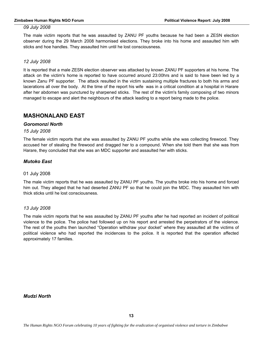The male victim reports that he was assaulted by ZANU PF youths because he had been a ZESN election observer during the 29 March 2008 harmonised elections. They broke into his home and assaulted him with sticks and hoe handles. They assaulted him until he lost consciousness.

# *12 July 2008*

It is reported that a male ZESN election observer was attacked by known ZANU PF supporters at his home. The attack on the victim's home is reported to have occurred around 23:00hrs and is said to have been led by a known Zanu PF supporter. The attack resulted in the victim sustaining multiple fractures to both his arms and lacerations all over the body. At the time of the report his wife was in a critical condition at a hospital in Harare after her abdomen was punctured by sharpened sticks. The rest of the victim's family composing of two minors managed to escape and alert the neighbours of the attack leading to a report being made to the police.

# **MASHONALAND EAST**

#### *Goromonzi North*

*15 July 2008*

The female victim reports that she was assaulted by ZANU PF youths while she was collecting firewood. They accused her of stealing the firewood and dragged her to a compound. When she told them that she was from Harare, they concluded that she was an MDC supporter and assaulted her with sticks.

# *Mutoko East*

#### 01 July 2008

The male victim reports that he was assaulted by ZANU PF youths. The youths broke into his home and forced him out. They alleged that he had deserted ZANU PF so that he could join the MDC. They assaulted him with thick sticks until he lost consciousness.

#### *13 July 2008*

The male victim reports that he was assaulted by ZANU PF youths after he had reported an incident of political violence to the police. The police had followed up on his report and arrested the perpetrators of the violence. The rest of the youths then launched "Operation withdraw your docket" where they assaulted all the victims of political violence who had reported the incidences to the police. It is reported that the operation affected approximately 17 families.

*Mudzi North*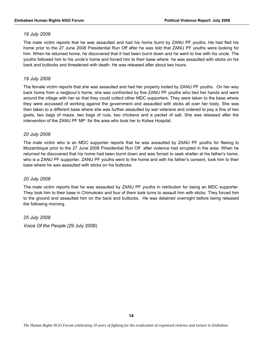The male victim reports that he was assaulted and had his home burnt by ZANU PF youths. He had fled his home prior to the 27 June 2008 Presidential Run Off after he was told that ZANU PF youths were looking for him. When he returned home, he discovered that it had been burnt down and he went to live with his uncle. The youths followed him to his uncle's home and forced him to their base where he was assaulted with sticks on his back and buttocks and threatened with death. He was released after about two hours.

# *19 July 2008*

The female victim reports that she was assaulted and had her property looted by ZANU PF youths. On her way back home from a neigbour's home, she was confronted by five ZANU PF youths who tied her hands and went around the village with her so that they could collect other MDC supporters. They were taken to the base where they were accussed of working against the government and assaulted with sticks all over her body. She was then taken to a different base where she was further assaulted by war veterans and ordered to pay a fine of two goats, two bags of maize, two bags of nuts, two chickens and a packet of salt. She was released after the intervention of the ZANU PF MP for the area who took her to Kotwa Hospital.

# *20 July 2008*

The male victim who is an MDC supporter reports that he was assaulted by ZANU PF youths for fleeing to Mozambique prior to the 27 June 2008 Presidential Run Off after violence had errupted in the area. When he returned he discovered that his home had been burnt down and was forced to seek shelter at his father's home, who is a ZANU PF supporter. ZANU PF youths went to the home and with his father's consent, took him to their base where he was assaulted with sticks on his buttocks.

#### *20 July 2008*

The male victim reports that he was assaulted by ZANU PF youths in retribution for being an MDC supporter. They took him to their base in Chimukoko and four of them took turns to assault him with sticks. They forced him to the ground and assaulted him on the back and buttocks. He was detained overnight before being released the following morning.

*25 July 2008 Voice Of the People (*29 July 2008)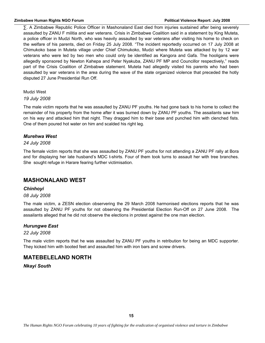∑. A Zimbabwe Republic Police Officer in Mashonaland East died from injuries sustained after being severely assaulted by ZANU F militia and war veterans. Crisis in Zimbabwe Coalition said in a statement by King Muteta, a police officer in Mudzi North, who was heavily assaulted by war veterans after visiting his home to check on the welfare of his parents, died on Friday 25 July 2008. "The incident reportedly occurred on 17 July 2008 at Chimukoko base in Muteta village under Chief Chimukoko, Mudzi where Muteta was attacked by by 12 war veterans who were led by two men who could only be identified as Kangora and Gafa. The hooligans were allegedly sponsored by Newton Kahepa and Peter Nyakuba, ZANU PF MP and Councillor respectively," reads part of the Crisis Coalition of Zimbabwe statement. Muteta had allegedly visited his parents who had been assaulted by war veterans in the area during the wave of the state organized violence that preceded the hotly disputed 27 June Presidential Run Off.

Mudzi West

*19 July 2008*

The male victim reports that he was assaulted by ZANU PF youths. He had gone back to his home to collect the remainder of his property from the home after it was burned down by ZANU PF youths. The assailants saw him on his way and attacked him that night. They dragged him to their base and punched him with clenched fists. One of them poured hot water on him and scalded his right leg.

#### *Murehwa West*

# *24 July 2008*

The female victim reports that she was assaulted by ZANU PF youths for not attending a ZANU PF rally at Bora and for displaying her late husband's MDC t-shirts. Four of them took turns to assault her with tree branches. She sought refuge in Harare fearing further victimisation.

# **MASHONALAND WEST**

#### *Chinhoyi*

# *08 July 2008*

The male victim, a ZESN election observering the 29 March 2008 harmonised elections reports that he was assaulted by ZANU PF youths for not observing the Presidential Election Run-Off on 27 June 2008. The assailants alleged that he did not observe the elections in protest against the one man election.

#### *Hurungwe East*

*22 July 2008*

The male victim reports that he was assaulted by ZANU PF youths in retribution for being an MDC supporter. They kicked him with booted feet and assaulted him with iron bars and screw drivers.

# **MATEBELELAND NORTH**

*Nkayi South*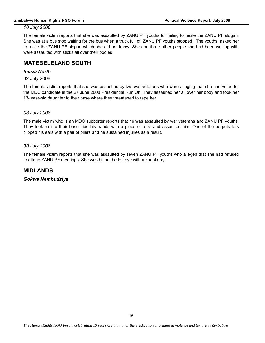The female victim reports that she was assaulted by ZANU PF youths for failing to recite the ZANU PF slogan. She was at a bus stop waiting for the bus when a truck full of ZANU PF youths stopped. The youths asked her to recite the ZANU PF slogan which she did not know. She and three other people she had been waiting with were assaulted with sticks all over their bodies

# **MATEBELELAND SOUTH**

# *Insiza North*

02 July 2008

The female victim reports that she was assaulted by two war veterans who were alleging that she had voted for the MDC candidate in the 27 June 2008 Presidential Run Off. They assaulted her all over her body and took her 13- year-old daughter to their base where they threatened to rape her.

#### *03 July 2008*

The male victim who is an MDC supporter reports that he was assaulted by war veterans and ZANU PF youths. They took him to their base, tied his hands with a piece of rope and assaulted him. One of the perpetrators clipped his ears with a pair of pliers and he sustained injuries as a result.

#### *30 July 2008*

The female victim reports that she was assaulted by seven ZANU PF youths who alleged that she had refused to attend ZANU PF meetings. She was hit on the left eye with a knobkerry.

# **MIDLANDS**

*Gokwe Nembudziya*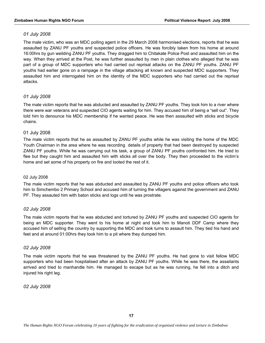The male victim, who was an MDC polling agent in the 29 March 2008 harmonised elections, reports that he was assaulted by ZANU PF youths and suspected police officers. He was forcibly taken from his home at around 16:00hrs by gun weilding ZANU PF youths. They dragged him to Chitakate Police Post and assaulted him on the way. When they arrived at the Post, he was further assaulted by men in plain clothes who alleged that he was part of a group of MDC supporters who had carried out reprisal attacks on the ZANU PF youths. ZANU PF youths had earlier gone on a rampage in the village attacking all known and suspected MDC supporters. They assaulted him and interrogated him on the identity of the MDC supporters who had carried out the reprisal attacks.

# *01 July 2008*

The male victim reports that he was abducted and assaulted by ZANU PF youths. They took him to a river where there were war veterans and suspected CIO agents waiting for him. They accused him of being a "sell out". They told him to denounce his MDC membership if he wanted peace. He was then assaulted with sticks and bicycle chains.

# 01 July 2008

The male victim reports that he as assaulted by ZANU PF youths while he was visiting the home of the MDC Youth Chairman in the area where he was recording details of property that had been destroyed by suspected ZANU PF youths. While he was carrying out his task, a group of ZANU PF youths confronted him. He tried to flee but they caught him and assaulted him with sticks all over the body. They then proceeded to the victim's home and set some of his property on fire and looted the rest of it.

#### 02 July 2008

The male victim reports that he was abducted and assaulted by ZANU PF youths and police officers who took him to Simchembo 2 Primary School and accused him of turning the villagers against the government and ZANU PF. They assauted him with baton sticks and logs until he was prostrate.

# *02 July 2008*

The male victim reports that he was abducted and tortured by ZANU PF youths and suspected CIO agents for being an MDC supporter. They went to his home at night and took him to Manoti DDF Camp where they accused him of selling the country by supporting the MDC and took turns to assault him. They tied his hand and feet and at around 01:00hrs they took him to a pit where they dumped him.

# *02 July 2008*

The male victim reports that he was threatened by the ZANU PF youths. He had gone to visit fellow MDC supporters who had been hospitalised after an attack by ZANU PF youths. While he was there, the assailants arrived and tried to manhandle him. He managed to escape but as he was running, he fell into a ditch and injured his right leg.

*02 July 2008*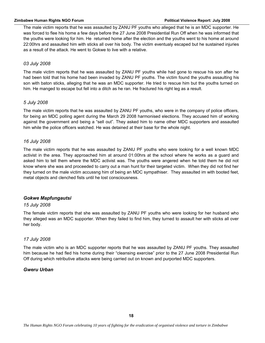#### **Zimbabwe Human Rights NGO Forum Political Violence Report: July 2008**

The male victim reports that he was assaulted by ZANU PF youths who alleged that he is an MDC supporter. He was forced to flee his home a few days before the 27 June 2008 Presidential Run Off when he was informed that the youths were looking for him. He returned home after the election and the youths went to his home at around 22:00hrs and assaulted him with sticks all over his body. The victim eventualy escaped but he sustained injuries as a result of the attack. He went to Gokwe to live with a relative.

# *03 July 2008*

The male victim reports that he was assaulted by ZANU PF youths while had gone to rescue his son after he had been told that his home had been invaded by ZANU PF youths. The victim found the youths assaulting his son with baton sticks, alleging that he was an MDC supporter. He tried to rescue him but the youths turned on him. He manged to escape but fell into a ditch as he ran. He fractured his right leg as a result.

#### *5 July 2008*

The male victim reports that he was assaulted by ZANU PF youths, who were in the company of police officers, for being an MDC polling agent during the March 29 2008 harmonised elections. They accused him of working against the government and being a "sell out". They asked him to name other MDC supporters and assaulted him while the police officers watched. He was detained at their base for the whole night.

# *16 July 2008*

The male victim reports that he was assaulted by ZANU PF youths who were looking for a well known MDC activist in the area. They approached him at around 01:00hrs at the school where he works as a guard and asked him to tell them where the MDC activist was. The youths were angered when he told them he did not know where she was and proceeded to carry out a man hunt for their targeted victim. When they did not find her they turned on the male victim accussng him of being an MDC sympathiser. They assaulted im with booted feet, metal objects and clenched fists until he lost consciousness.

# *Gokwe Mapfungautsi*

#### *15 July 2008*

The female victim reports that she was assaulted by ZANU PF youths who were looking for her husband who they alleged was an MDC supporter. When they failed to find him, they turned to assault her with sticks all over her body.

#### *17 July 2008*

The male victim who is an MDC supporter reports that he was assaulted by ZANU PF youths. They assaulted him because he had fled his home during their "cleansing exercise" prior to the 27 June 2008 Presidential Run Off during which retributive attacks were being carried out on known and purported MDC supporters.

# *Gweru Urban*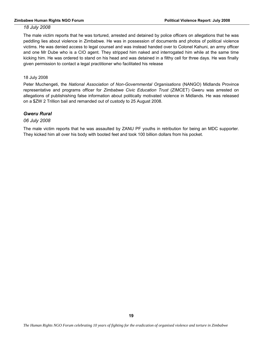The male victim reports that he was tortured, arrested and detained by police officers on allegations that he was peddling lies about violence in Zimbabwe. He was in possession of documents and photos of political violence victims. He was denied access to legal counsel and was instead handed over to Colonel Kahuni, an army officer and one Mr Dube who is a CIO agent. They stripped him naked and interrogated him while at the same time kicking him. He was ordered to stand on his head and was detained in a filthy cell for three days. He was finally given permission to contact a legal practitioner who facilitated his release

#### 18 July 2008

Peter Muchengeti, the *National Association of Non-Governmental Organisations* (NANGO) Midlands Province representative and programs officer for *Zimbabwe Civic Education Trust* (ZIMCET) Gweru was arrested on allegations of publishishing false information about politically motivated violence in Midlands. He was released on a \$ZW 2 Trillion bail and remanded out of custody to 25 August 2008.

# *Gweru Rural*

#### *06 July 2008*

The male victim reports that he was assaulted by ZANU PF youths in retribution for being an MDC supporter. They kicked him all over his body with booted feet and took 100 billion dollars from his pocket.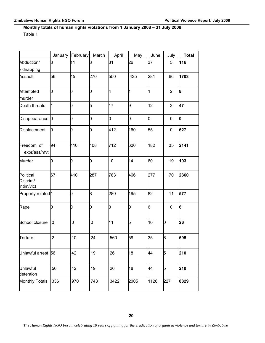# **Monthly totals of human rights violations from 1 January 2008 – 31 July 2008**

Table 1

|                                     | January          | February    | March     | April | May         | June        | July           | <b>Total</b> |
|-------------------------------------|------------------|-------------|-----------|-------|-------------|-------------|----------------|--------------|
| Abduction/<br>kidnapping            | þЗ               | 11          | þЗ        | 31    | 26          | 37          | 5              | 116          |
| Assault                             | 56               | 45          | 270       | 550   | 435         | 281         | 66             | 1703         |
| Attempted<br>murder                 | b                | b           | b         | k.    | $\mathbf 1$ | $\mathbf 1$ | $\overline{2}$ | 8            |
| Death threats                       | 1                | b           | 5         | 17    | þ           | 12          | 3              | 47           |
| Disappearance                       | $\boldsymbol{0}$ | O           | o         | b     | o           | 0           | 0              | o            |
| Displacement                        | b                | b           | b         | 412   | 160         | 55          | 0              | 627          |
| Freedom of<br>expr/ass/mvt          | 94               | 410         | 108       | 712   | 600         | 182         | 35             | 2141         |
| Murder                              | b                | b           | b         | 10    | 14          | 60          | 19             | 103          |
| Political<br>Discrim/<br>intim/vict | 67               | 410         | 287       | 783   | 466         | 277         | 70             | 2360         |
| Property related <sup>1</sup>       |                  | b           | 8         | 280   | 195         | 82          | 11             | 577          |
| Rape                                | b                | b           | b         | b     | o           | 6           | 0              | 6            |
| School closure                      | 0                | $\mathbf 0$ | $\pmb{0}$ | 11    | 5           | 10          | b              | 26           |
| Torture                             | 2                | 10          | 24        | 560   | 58          | 35          | 6              | 695          |
| Unlawful arrest 56                  |                  | 42          | 19        | 26    | 18          | 44          | 5              | 210          |
| Unlawful<br>detention               | 56               | 42          | 19        | 26    | 18          | 44          | 5              | 210          |
| Monthly Totals                      | 336              | 970         | 743       | 3422  | 2005        | 1126        | 227            | 8829         |

*The Human Rights NGO Forum celebrating 10 years of fighting for the eradication of organised violence and torture in Zimbabwe*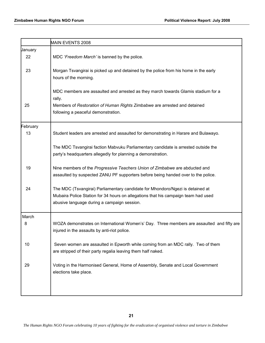|          | MAIN EVENTS 2008                                                                                                                                                                                                    |
|----------|---------------------------------------------------------------------------------------------------------------------------------------------------------------------------------------------------------------------|
| January  |                                                                                                                                                                                                                     |
| 22       | MDC 'Freedom March' is banned by the police.                                                                                                                                                                        |
| 23       | Morgan Tsvangirai is picked up and detained by the police from his home in the early<br>hours of the morning.                                                                                                       |
|          | MDC members are assaulted and arrested as they march towards Glamis stadium for a<br>rally.                                                                                                                         |
| 25       | Members of Restoration of Human Rights Zimbabwe are arrested and detained<br>following a peaceful demonstration.                                                                                                    |
| February |                                                                                                                                                                                                                     |
| 13       | Student leaders are arrested and assaulted for demonstrating in Harare and Bulawayo.                                                                                                                                |
|          | The MDC Tsvangirai faction Mabvuku Parliamentary candidate is arrested outside the<br>party's headquarters allegedly for planning a demonstration.                                                                  |
| 19       | Nine members of the Progressive Teachers Union of Zimbabwe are abducted and<br>assaulted by suspected ZANU PF supporters before being handed over to the police.                                                    |
| 24       | The MDC (Tsvangirai) Parliamentary candidate for Mhondoro/Ngezi is detained at<br>Mubaira Police Station for 34 hours on allegations that his campaign team had used<br>abusive language during a campaign session. |
| March    |                                                                                                                                                                                                                     |
| 8        | WOZA demonstrates on International Women's' Day. Three members are assaulted and fifty are<br>injured in the assaults by anti-riot police.                                                                          |
| 10       | Seven women are assaulted in Epworth while coming from an MDC rally. Two of them<br>are stripped of their party regalia leaving them half naked.                                                                    |
| 29       | Voting in the Harmonised General, Home of Assembly, Senate and Local Government<br>elections take place.                                                                                                            |
|          |                                                                                                                                                                                                                     |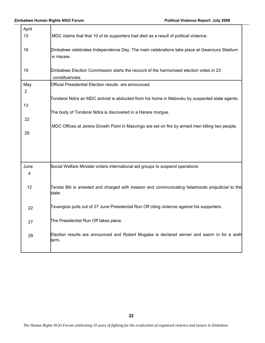т

| April     |                                                                                                             |
|-----------|-------------------------------------------------------------------------------------------------------------|
| 13        | MDC claims that that 10 of its supporters had died as a result of political violence.                       |
| 18        | Zimbabwe celebrates Independence Day. The main celebrations take place at Gwanzura Stadium<br>in Harare.    |
| 19        | Zimbabwe Election Commission starts the recount of the harmonised election votes in 23<br>constituencies.   |
| May       | Official Presidential Election results are announced.                                                       |
| 2         |                                                                                                             |
| 13        | Tonderai Ndira an MDC activist is abducted from his home in Mabvuku by suspected state agents.              |
|           | The body of Tonderai Ndira is discovered in a Harare morgue.                                                |
| 22        |                                                                                                             |
|           | MDC Offices at Jerera Growth Point in Masvingo are set on fire by armed men killing two people.             |
| 28        |                                                                                                             |
|           |                                                                                                             |
| June<br>4 | Social Welfare Minister orders international aid groups to suspend operations                               |
| 12        | Tendai Biti is arrested and charged with treason and communicating falsehoods prejudicial to the<br>lstate. |
| 22        | Tsvangirai pulls out of 27 June Presidential Run Off citing violence against his supporters.                |
| 27        | The Presidential Run Off takes place.                                                                       |
| 29        | Election results are announced and Robert Mugabe is declared winner and sworn in for a sixth<br>term.       |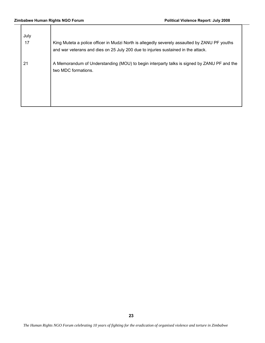| July<br>17 | King Muteta a police officer in Mudzi North is allegedly severely assaulted by ZANU PF youths<br>and war veterans and dies on 25 July 200 due to injuries sustained in the attack. |
|------------|------------------------------------------------------------------------------------------------------------------------------------------------------------------------------------|
| 21         | A Memorandum of Understanding (MOU) to begin interparty talks is signed by ZANU PF and the<br>two MDC formations.                                                                  |
|            |                                                                                                                                                                                    |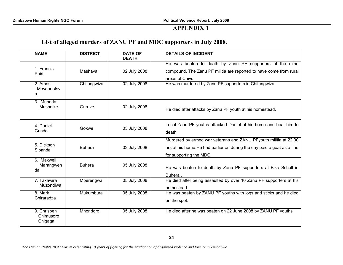# **APPENDIX 1**

# **List of alleged murders of ZANU PF and MDC supporters in July 2008.**

| <b>NAME</b>                         | <b>DISTRICT</b> | <b>DATE OF</b><br><b>DEATH</b> | <b>DETAILS OF INCIDENT</b>                                                                                                                        |
|-------------------------------------|-----------------|--------------------------------|---------------------------------------------------------------------------------------------------------------------------------------------------|
| 1. Francis<br>Phiri                 | Mashava         | 02 July 2008                   | He was beaten to death by Zanu PF supporters at the mine<br>compound. The Zanu PF militia are reported to have come from rural<br>areas of Chivi. |
| 2. Amos<br>Moyounotsv<br>a          | Chitungwiza     | 02 July 2008                   | He was murdered by Zanu PF supporters in Chitungwiza                                                                                              |
| 3. Munoda<br>Mushaike               | Guruve          | 02 July 2008                   | He died after attacks by Zanu PF youth at his homestead.                                                                                          |
| 4. Daniel<br>Gundo                  | Gokwe           | 03 July 2008                   | Local Zanu PF youths attacked Daniel at his home and beat him to<br>death                                                                         |
| 5. Dickson                          | <b>Buhera</b>   | 03 July 2008                   | Murdered by armed war veterans and ZANU PFyouth militia at 22:00                                                                                  |
| Sibanda                             |                 |                                | hrs at his home. He had earlier on during the day paid a goat as a fine<br>for supporting the MDC.                                                |
| 6. Maxwell<br>Marangwen<br>da       | <b>Buhera</b>   | 05 July 2008                   | He was beaten to death by Zanu PF supporters at Bika Scholl in<br>Buhera.                                                                         |
| 7. Takawira<br>Muzondiwa            | Mberengwa       | 05 July 2008                   | He died after being assaulted by over 10 Zanu PF supporters at his<br>homestead.                                                                  |
| 8. Mark<br>Chiraradza               | Mukumbura       | 05 July 2008                   | He was beaten by ZANU PF youths with logs and sticks and he died<br>on the spot.                                                                  |
| 9. Chrispen<br>Chimusoro<br>Chigaga | Mhondoro        | 05 July 2008                   | He died after he was beaten on 22 June 2008 by ZANU PF youths                                                                                     |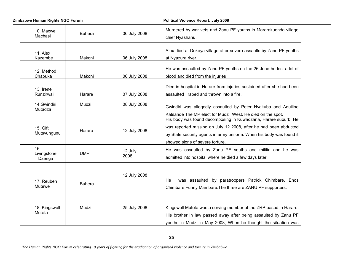**Zimbabwe Human Rights NGO Forum Political Violence Report: July 2008** 

| 10. Maxwell<br>Machasi       | <b>Buhera</b> | 06 July 2008     | Murdered by war vets and Zanu PF youths in Mararakuenda village<br>chief Nyashanu.                                                                                                                                                            |
|------------------------------|---------------|------------------|-----------------------------------------------------------------------------------------------------------------------------------------------------------------------------------------------------------------------------------------------|
| 11. Alex<br>Kazembe          | Makoni        | 06 July 2008     | Alex died at Dekeya village after severe assaults by Zanu PF youths<br>at Nyazura river.                                                                                                                                                      |
| 12. Method<br>Chabuka        | Makoni        | 06 July 2008     | He was assaulted by Zanu PF youths on the 26 June he lost a lot of<br>blood and died from the injuries                                                                                                                                        |
| 13. Irene<br>Runzirwai       | Harare        | 07 July 2008     | Died in hospital in Harare from injuries sustained after she had been<br>assaulted, raped and thrown into a fire.                                                                                                                             |
| 14. Gwindiri<br>Mutadza      | Mudzi         | 08 July 2008     | Gwindiri was allegedly assaulted by Peter Nyakuba and Aquiline<br>Katsande The MP elect for Mudzi West. He died on the spot.                                                                                                                  |
| 15. Gift<br>Mutsvungunu      | Harare        | 12 July 2008     | His body was found decomposing in Kuwadzana, Harare suburb. He<br>was reported missing on July 12 2008, after he had been abducted<br>by State security agents in army uniform. When his body was found it<br>showed signs of severe torture. |
| 16.<br>Livingstone<br>Dzenga | <b>UMP</b>    | 12 July,<br>2008 | He was assaulted by Zanu PF youths and militia and he was<br>admitted into hospital where he died a few days later.                                                                                                                           |
| 17. Reuben<br>Mutewe         | <b>Buhera</b> | 12 July 2008     | was assaulted by paratroopers Patrick Chimbare, Enos<br>He<br>Chimbare, Funny Mambare. The three are ZANU PF supporters.                                                                                                                      |
| 18. Kingswell<br>Muteta      | Mudzi         | 25 July 2008     | Kingswell Muteta was a serving member of the ZRP based in Harare.<br>His brother in law passed away after being assaulted by Zanu PF<br>youths in Mudzi in May 2008, When he thought the situation was                                        |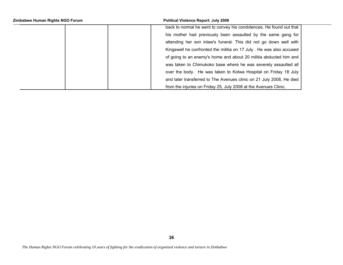| Zimbabwe Human Rights NGO Forum | <b>Political Violence Report: July 2008</b>                          |
|---------------------------------|----------------------------------------------------------------------|
|                                 | back to normal he went to convey his condolences. He found out that  |
|                                 | his mother had previously been assaulted by the same gang for        |
|                                 | attending her son inlaw's funeral. This did not go down well with    |
|                                 | Kingswell he confronted the militia on 17 July . He was also accused |
|                                 | of going to an enemy's home and about 20 militia abducted him and    |
|                                 | was taken to Chimukoko base where he was severely assaulted all      |
|                                 | over the body. He was taken to Kotwa Hospital on Friday 18 July      |
|                                 | and later transferred to The Avenues clinic on 21 July 2008, He died |
|                                 | from the injuries on Friday 25, July 2008 at the Avenues Clinic.     |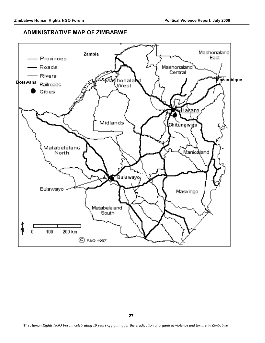# **ADMINISTRATIVE MAP OF ZIMBABWE**

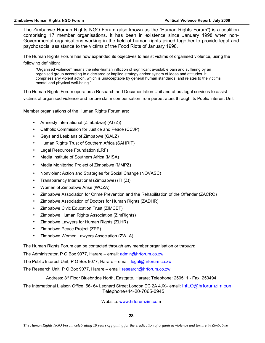The Zimbabwe Human Rights NGO Forum (also known as the "Human Rights Forum") is a coalition comprising 17 member organisations. It has been in existence since January 1998 when non-Governmental organisations working in the field of human rights joined together to provide legal and psychosocial assistance to the victims of the Food Riots of January 1998.

The Human Rights Forum has now expanded its objectives to assist victims of organised violence, using the following definition:

"Organised violence" means the inter-human infliction of significant avoidable pain and suffering by an organised group according to a declared or implied strategy and/or system of ideas and attitudes. It comprises any violent action, which is unacceptable by general human standards, and relates to the victims' mental and physical well-being."

The Human Rights Forum operates a Research and Documentation Unit and offers legal services to assist victims of organised violence and torture claim compensation from perpetrators through its Public Interest Unit.

Member organisations of the Human Rights Forum are:

- Amnesty International (Zimbabwe) (AI (Z))
- Catholic Commission for Justice and Peace (CCJP)
- Gays and Lesbians of Zimbabwe (GALZ)
- Human Rights Trust of Southern Africa (SAHRIT)
- Legal Resources Foundation (LRF)
- Media Institute of Southern Africa (MISA)
- Media Monitoring Project of Zimbabwe (MMPZ)
- Nonviolent Action and Strategies for Social Change (NOVASC)
- Transparency International (Zimbabwe) (TI (Z))
- Women of Zimbabwe Arise (WOZA)
- Zimbabwe Association for Crime Prevention and the Rehabilitation of the Offender (ZACRO)
- Zimbabwe Association of Doctors for Human Rights (ZADHR)
- Zimbabwe Civic Education Trust (ZIMCET)
- Zimbabwe Human Rights Association (ZimRights)
- Zimbabwe Lawyers for Human Rights (ZLHR)
- Zimbabwe Peace Project (ZPP)
- Zimbabwe Women Lawyers Association (ZWLA)

The Human Rights Forum can be contacted through any member organisation or through:

The Administrator, P O Box 9077, Harare – email: admin@hrforum.co.zw

The Public Interest Unit, P O Box 9077, Harare – email: legal@hrforum.co.zw

The Research Unit, P O Box 9077, Harare – email: research@hrforum.co.zw

Address: 8th Floor Bluebridge North, Eastgate, Harare; Telephone: 250511 - Fax: 250494

The International Liaison Office, 56- 64 Leonard Street London EC 2A 4JX– email: IntLO@hrforumzim.com Telephone+44-20-7065-0945

Website: www.hrforumzim.com